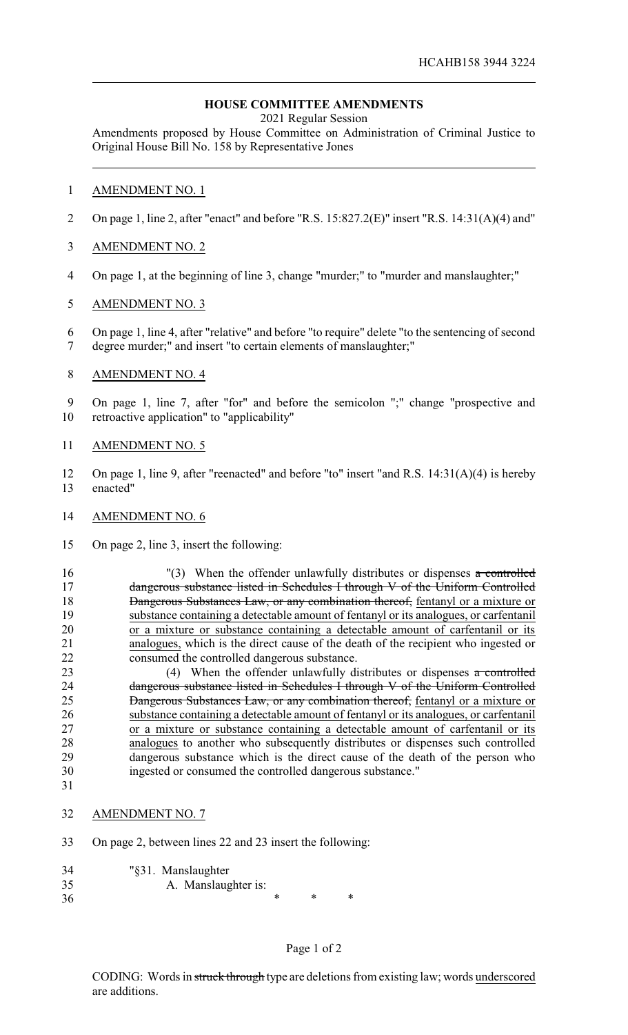## **HOUSE COMMITTEE AMENDMENTS**

2021 Regular Session

Amendments proposed by House Committee on Administration of Criminal Justice to Original House Bill No. 158 by Representative Jones

### 1 AMENDMENT NO. 1

- 2 On page 1, line 2, after "enact" and before "R.S. 15:827.2(E)" insert "R.S. 14:31(A)(4) and"
- 3 AMENDMENT NO. 2
- 4 On page 1, at the beginning of line 3, change "murder;" to "murder and manslaughter;"

#### 5 AMENDMENT NO. 3

6 On page 1, line 4, after "relative" and before "to require" delete "to the sentencing of second 7 degree murder;" and insert "to certain elements of manslaughter;"

#### 8 AMENDMENT NO. 4

9 On page 1, line 7, after "for" and before the semicolon ";" change "prospective and 10 retroactive application" to "applicability"

#### 11 AMENDMENT NO. 5

- 12 On page 1, line 9, after "reenacted" and before "to" insert "and R.S. 14:31(A)(4) is hereby 13 enacted"
- 14 AMENDMENT NO. 6
- 15 On page 2, line 3, insert the following:

16 "(3) When the offender unlawfully distributes or dispenses a controlled 17 dangerous substance listed in Schedules I through V of the Uniform Controlled 18 Dangerous Substances Law, or any combination thereof, fentanyl or a mixture or 19 substance containing a detectable amount of fentanyl or its analogues, or carfentanil<br>20 or a mixture or substance containing a detectable amount of carfentanil or its or a mixture or substance containing a detectable amount of carfentanil or its 21 analogues, which is the direct cause of the death of the recipient who ingested or 22 consumed the controlled dangerous substance.

23 (4) When the offender unlawfully distributes or dispenses a controlled 24 dangerous substance listed in Schedules I through V of the Uniform Controlled 25 Dangerous Substances Law, or any combination thereof, fentanyl or a mixture or 26 substance containing a detectable amount of fentanyl or its analogues, or carfentanil 27 or a mixture or substance containing a detectable amount of carfentanil or its 28 analogues to another who subsequently distributes or dispenses such controlled 29 dangerous substance which is the direct cause of the death of the person who 30 ingested or consumed the controlled dangerous substance." 31

- 
- 32 AMENDMENT NO. 7
- 33 On page 2, between lines 22 and 23 insert the following:
- 34 "§31. Manslaughter
- 35 A. Manslaughter is:
- 36 \* \* \* \*